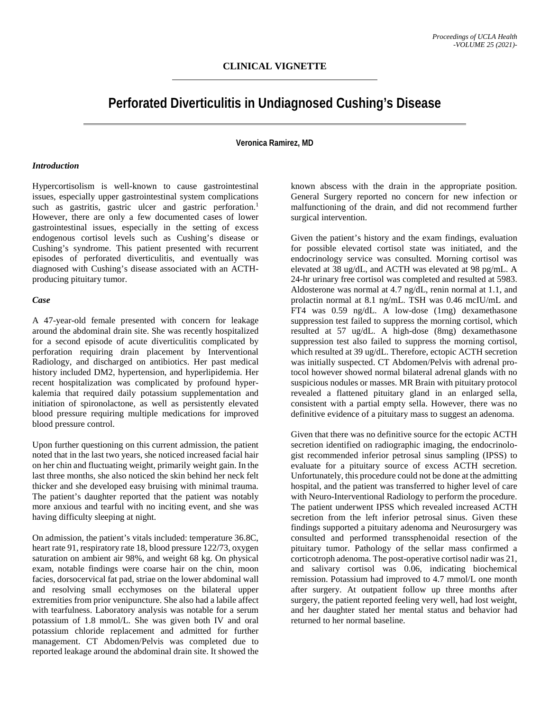# **Perforated Diverticulitis in Undiagnosed Cushing's Disease**

# **Veronica Ramirez, MD**

#### *Introduction*

Hypercortisolism is well-known to cause gastrointestinal issues, especially upper gastrointestinal system complications such as gastritis, gastric ulcer and gastric perforation.<sup>1</sup> However, there are only a few documented cases of lower gastrointestinal issues, especially in the setting of excess endogenous cortisol levels such as Cushing's disease or Cushing's syndrome. This patient presented with recurrent episodes of perforated diverticulitis, and eventually was diagnosed with Cushing's disease associated with an ACTHproducing pituitary tumor.

#### *Case*

A 47-year-old female presented with concern for leakage around the abdominal drain site. She was recently hospitalized for a second episode of acute diverticulitis complicated by perforation requiring drain placement by Interventional Radiology, and discharged on antibiotics. Her past medical history included DM2, hypertension, and hyperlipidemia. Her recent hospitalization was complicated by profound hyperkalemia that required daily potassium supplementation and initiation of spironolactone, as well as persistently elevated blood pressure requiring multiple medications for improved blood pressure control.

Upon further questioning on this current admission, the patient noted that in the last two years, she noticed increased facial hair on her chin and fluctuating weight, primarily weight gain. In the last three months, she also noticed the skin behind her neck felt thicker and she developed easy bruising with minimal trauma. The patient's daughter reported that the patient was notably more anxious and tearful with no inciting event, and she was having difficulty sleeping at night.

On admission, the patient's vitals included: temperature 36.8C, heart rate 91, respiratory rate 18, blood pressure 122/73, oxygen saturation on ambient air 98%, and weight 68 kg. On physical exam, notable findings were coarse hair on the chin, moon facies, dorsocervical fat pad, striae on the lower abdominal wall and resolving small ecchymoses on the bilateral upper extremities from prior venipuncture. She also had a labile affect with tearfulness. Laboratory analysis was notable for a serum potassium of 1.8 mmol/L. She was given both IV and oral potassium chloride replacement and admitted for further management. CT Abdomen/Pelvis was completed due to reported leakage around the abdominal drain site. It showed the

known abscess with the drain in the appropriate position. General Surgery reported no concern for new infection or malfunctioning of the drain, and did not recommend further surgical intervention.

Given the patient's history and the exam findings, evaluation for possible elevated cortisol state was initiated, and the endocrinology service was consulted. Morning cortisol was elevated at 38 ug/dL, and ACTH was elevated at 98 pg/mL. A 24-hr urinary free cortisol was completed and resulted at 5983. Aldosterone was normal at 4.7 ng/dL, renin normal at 1.1, and prolactin normal at 8.1 ng/mL. TSH was 0.46 mcIU/mL and FT4 was 0.59 ng/dL. A low-dose (1mg) dexamethasone suppression test failed to suppress the morning cortisol, which resulted at 57 ug/dL. A high-dose (8mg) dexamethasone suppression test also failed to suppress the morning cortisol, which resulted at 39 ug/dL. Therefore, ectopic ACTH secretion was initially suspected. CT Abdomen/Pelvis with adrenal protocol however showed normal bilateral adrenal glands with no suspicious nodules or masses. MR Brain with pituitary protocol revealed a flattened pituitary gland in an enlarged sella, consistent with a partial empty sella. However, there was no definitive evidence of a pituitary mass to suggest an adenoma.

Given that there was no definitive source for the ectopic ACTH secretion identified on radiographic imaging, the endocrinologist recommended inferior petrosal sinus sampling (IPSS) to evaluate for a pituitary source of excess ACTH secretion. Unfortunately, this procedure could not be done at the admitting hospital, and the patient was transferred to higher level of care with Neuro-Interventional Radiology to perform the procedure. The patient underwent IPSS which revealed increased ACTH secretion from the left inferior petrosal sinus. Given these findings supported a pituitary adenoma and Neurosurgery was consulted and performed transsphenoidal resection of the pituitary tumor. Pathology of the sellar mass confirmed a corticotroph adenoma. The post-operative cortisol nadir was 21, and salivary cortisol was 0.06, indicating biochemical remission. Potassium had improved to 4.7 mmol/L one month after surgery. At outpatient follow up three months after surgery, the patient reported feeling very well, had lost weight, and her daughter stated her mental status and behavior had returned to her normal baseline.